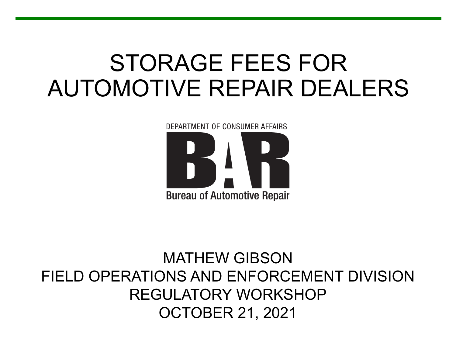#### STORAGE FEES FOR AUTOMOTIVE REPAIR DEALERS

DEPARTMENT OF CONSUMER AFFAIRS **Bureau of Automotive Repair** 

#### MATHEW GIBSON FIELD OPERATIONS AND ENFORCEMENT DIVISION REGULATORY WORKSHOP OCTOBER 21, 2021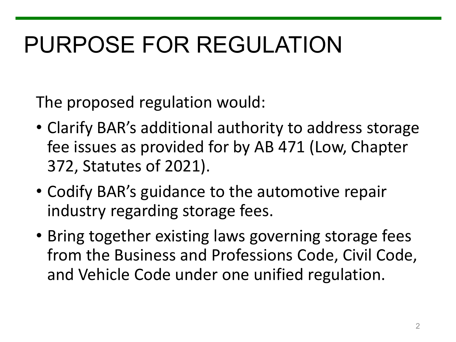# PURPOSE FOR REGULATION

The proposed regulation would:

- Clarify BAR's additional authority to address storage fee issues as provided for by AB 471 (Low, Chapter 372, Statutes of 2021).
- Codify BAR's guidance to the automotive repair industry regarding storage fees.
- Bring together existing laws governing storage fees from the Business and Professions Code, Civil Code, and Vehicle Code under one unified regulation.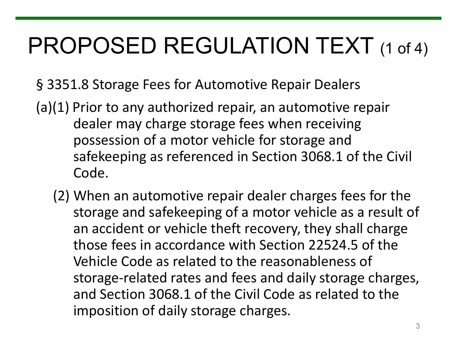# PROPOSED REGULATION TEXT (1 of 4)

- § 3351.8 Storage Fees for Automotive Repair Dealers
- (a)(1) Prior to any authorized repair, an automotive repair dealer may charge storage fees when receiving possession of a motor vehicle for storage and safekeeping as referenced in Section 3068.1 of the Civil Code.
	- storage and safekeeping of a motor vehicle as a result of an accident or vehicle theft recovery, they shall charge storage-related rates and fees and daily storage charges, and Section 3068.1 of the Civil Code as related to the (2) When an automotive repair dealer charges fees for the those fees in accordance with Section 22524.5 of the Vehicle Code as related to the reasonableness of imposition of daily storage charges.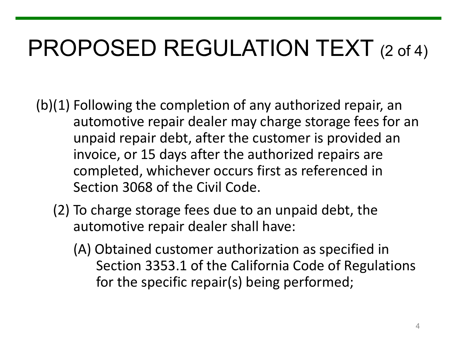# PROPOSED REGULATION TEXT (2 of 4)

 (b)(1) Following the completion of any authorized repair, an automotive repair dealer may charge storage fees for an invoice, or 15 days after the authorized repairs are unpaid repair debt, after the customer is provided an completed, whichever occurs first as referenced in Section 3068 of the Civil Code.

- (2) To charge storage fees due to an unpaid debt, the automotive repair dealer shall have:
	- (A) Obtained customer authorization as specified in Section 3353.1 of the California Code of Regulations for the specific repair(s) being performed;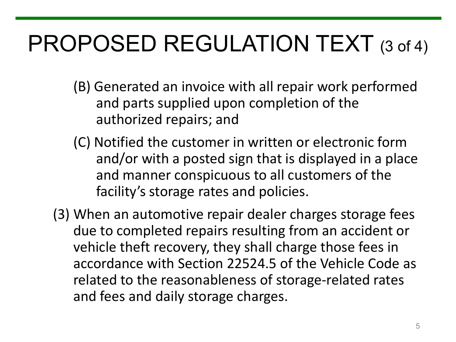# PROPOSED REGULATION TEXT (3 of 4)

- (B) Generated an invoice with all repair work performed and parts supplied upon completion of the authorized repairs; and
- (C) Notified the customer in written or electronic form and/or with a posted sign that is displayed in a place and manner conspicuous to all customers of the facility's storage rates and policies.
- (3) When an automotive repair dealer charges storage fees due to completed repairs resulting from an accident or vehicle theft recovery, they shall charge those fees in accordance with Section 22524.5 of the Vehicle Code as related to the reasonableness of storage-related rates and fees and daily storage charges.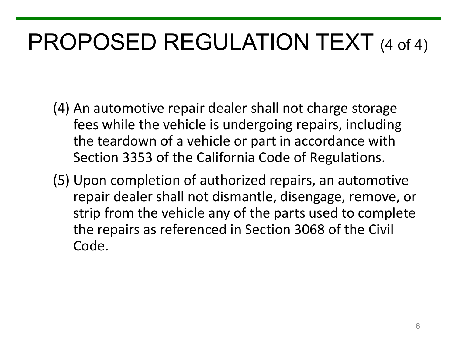# PROPOSED REGULATION TEXT (4 of 4)

- (4) An automotive repair dealer shall not charge storage fees while the vehicle is undergoing repairs, including the teardown of a vehicle or part in accordance with Section 3353 of the California Code of Regulations.
- (5) Upon completion of authorized repairs, an automotive repair dealer shall not dismantle, disengage, remove, or strip from the vehicle any of the parts used to complete the repairs as referenced in Section 3068 of the Civil Code.